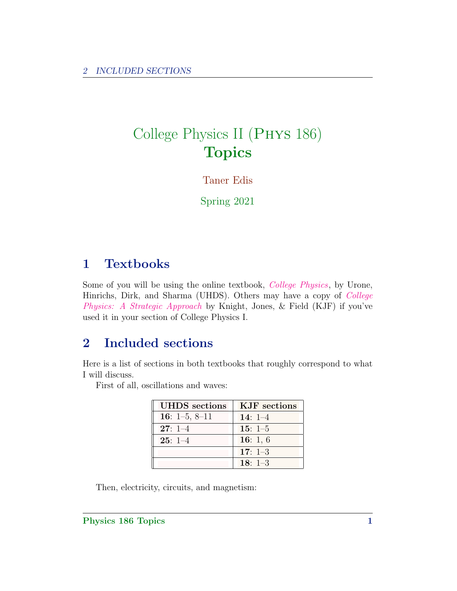## College Physics II (Phys 186) **Topics**

Taner Edis

Spring 2021

## 1 Textbooks

Some of you will be using the online textbook, [College Physics](https://openstax.org/details/books/college-physics), by Urone, Hinrichs, Dirk, and Sharma (UHDS). Others may have a copy of [College](https://www.pearson.com/us/higher-education/program/Knight-College-Physics-A-Strategic-Approach-Plus-Mastering-Physics-with-Pearson-e-Text-Access-Card-Package-4th-Edition/PGM1252446.html) [Physics: A Strategic Approach](https://www.pearson.com/us/higher-education/program/Knight-College-Physics-A-Strategic-Approach-Plus-Mastering-Physics-with-Pearson-e-Text-Access-Card-Package-4th-Edition/PGM1252446.html) by Knight, Jones, & Field (KJF) if you've used it in your section of College Physics I.

## 2 Included sections

Here is a list of sections in both textbooks that roughly correspond to what I will discuss.

First of all, oscillations and waves:

| <b>UHDS</b> sections | KJF sections |
|----------------------|--------------|
| 16: $1-5$ , $8-11$   | 14: $1-4$    |
| $27:1-4$             | $15:1-5$     |
| $25:1-4$             | 16: 1, $6$   |
|                      | 17: $1-3$    |
|                      | $18: 1-3$    |

Then, electricity, circuits, and magnetism: